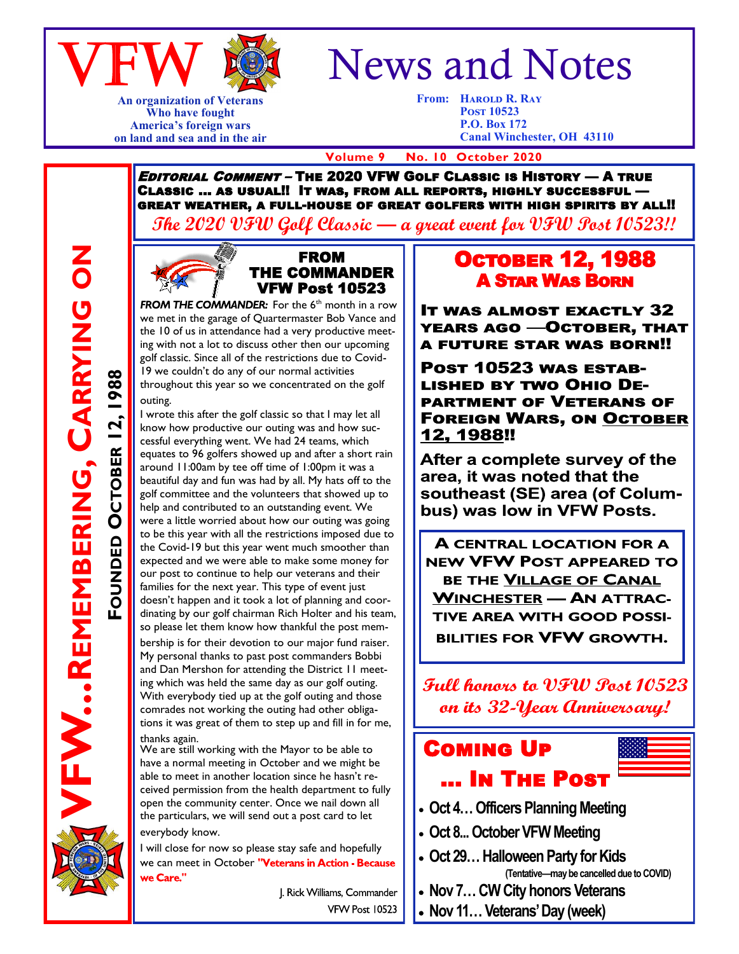

**An organization of Veterans Who have fought America's foreign wars on land and sea and in the air**

# News and Notes

**From: Harold R. Ray Post 10523 P.O. Box 172 Canal Winchester, OH 43110**

 **Volume 9 No. 10 October 2020**

Editorial Comment – The 2020 VFW Golf Classic is History — A true Classic … as usual!! It was, from all reports, highly successful great weather, a full-house of great golfers with high spirits by all!!

**The 2020 VFW Golf Classic — a great event for VFW Post 10523!!**





**FROM THE COMMANDER:** For the  $6<sup>th</sup>$  month in a row we met in the garage of Quartermaster Bob Vance and the 10 of us in attendance had a very productive meeting with not a lot to discuss other then our upcoming golf classic. Since all of the restrictions due to Covid-19 we couldn't do any of our normal activities throughout this year so we concentrated on the golf outing.

I wrote this after the golf classic so that I may let all know how productive our outing was and how successful everything went. We had 24 teams, which equates to 96 golfers showed up and after a short rain around 11:00am by tee off time of 1:00pm it was a beautiful day and fun was had by all. My hats off to the golf committee and the volunteers that showed up to help and contributed to an outstanding event. We were a little worried about how our outing was going to be this year with all the restrictions imposed due to the Covid-19 but this year went much smoother than expected and we were able to make some money for our post to continue to help our veterans and their families for the next year. This type of event just doesn't happen and it took a lot of planning and coordinating by our golf chairman Rich Holter and his team, so please let them know how thankful the post mem-

bership is for their devotion to our major fund raiser. My personal thanks to past post commanders Bobbi and Dan Mershon for attending the District 11 meeting which was held the same day as our golf outing. With everybody tied up at the golf outing and those comrades not working the outing had other obligations it was great of them to step up and fill in for me, thanks again.

We are still working with the Mayor to be able to have a normal meeting in October and we might be able to meet in another location since he hasn't received permission from the health department to fully open the community center. Once we nail down all the particulars, we will send out a post card to let everybody know.

I will close for now so please stay safe and hopefully we can meet in October "Veterans in Action - Because we Care."

> J. Rick Williams, Commander VFW Post 10523

#### **OCTOBER 12, 1988** A Star Was Born

**IT WAS ALMOST EXACTLY 32** YEARS AGO —OCTOBER, THAT **A FUTURE STAR WAS BORN!!** 

POST 10523 WAS ESTAB-**LISHED BY TWO OHIO DE-PARTMENT OF VETERANS OF FOREIGN WARS, ON OCTOBER** 12, 1988!!

After a complete survey of the area. it was noted that the southeast (SE) area (of Columbus) was low in VFW Posts.

**A CENTRAL LOCATION FOR A** NEW VFW POST APPEARED TO BE THE VILLAGE OF CANAL **WINCHESTER - AN ATTRAC-TIVE AREA WITH GOOD POSSI-BILITIES FOR VFW GROWTH.** 

Full honors to VFW Post 10523 on its 32-Year Anniversary!

## Coming Up … In The Post

- 
- **Oct 4… Officers Planning Meeting**
- **Oct 8... October VFW Meeting**
- **Oct 29… Halloween Party for Kids (Tentative—may be cancelled due to COVID)**
- **Nov 7… CW City honors Veterans**
- **Nov 11… Veterans' Day (week)**